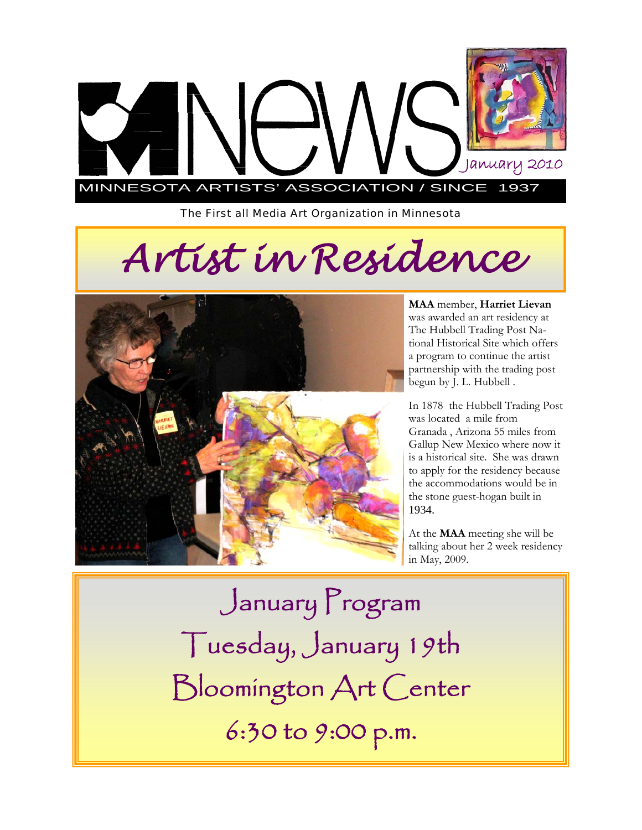

*The First all Media Art Organization in Minnesota* 

# *Artist in Residence*



**MAA** member, **Harriet Lievan**  was awarded an art residency at The Hubbell Trading Post National Historical Site which offers a program to continue the artist partnership with the trading post begun by J. L. Hubbell .

In 1878 the Hubbell Trading Post was located a mile from Granada , Arizona 55 miles from Gallup New Mexico where now it is a historical site. She was drawn to apply for the residency because the accommodations would be in the stone guest-hogan built in 1934.

At the **MAA** meeting she will be talking about her 2 week residency in May, 2009.

January Program Tuesday, January 19th Bloomington Art Center 6:30 to 9:00 p.m.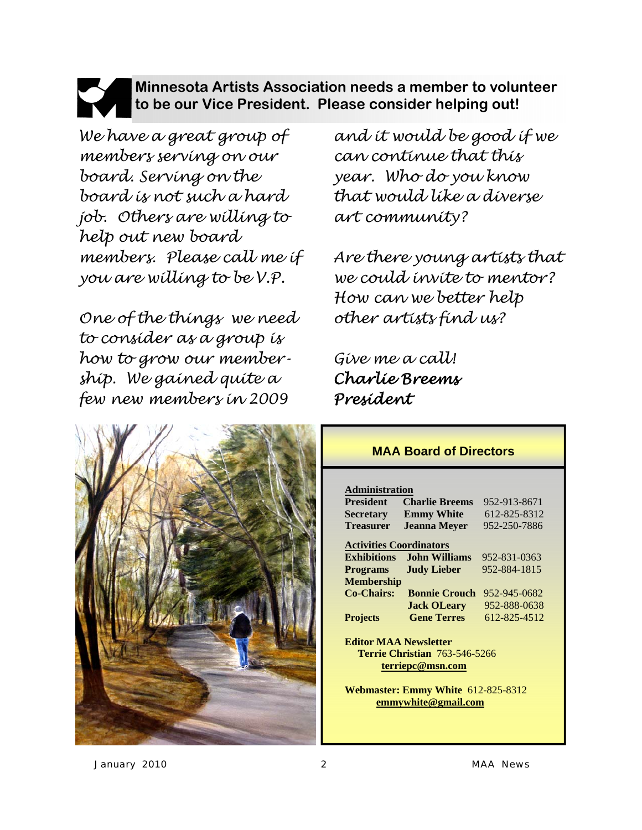### **Minnesota Artists Association needs a member to volunteer to be our Vice President. Please consider helping out!**

*We have a great group of members serving on our board. Serving on the board is not such a hard job. Others are willing to help out new board members. Please call me if you are willing to be V.P.* 

*One of the things we need to consider as a group is how to grow our membership. We gained quite a few new members in 2009* 



*and it would be good if we can continue that this year. Who do you know that would like a diverse art community?* 

*Are there young artists that we could invite to mentor? How can we better help other artists find us?* 

*Give me a call! Charlie Breems President* 

#### **MAA Board of Directors**

#### **Administration**

| <b>President</b>                                                                       | <b>Charlie Breems</b> | 952-913-8671 |  |
|----------------------------------------------------------------------------------------|-----------------------|--------------|--|
| <b>Secretary</b>                                                                       | <b>Emmy White</b>     | 612-825-8312 |  |
| <b>Treasurer</b>                                                                       | <b>Jeanna Meyer</b>   | 952-250-7886 |  |
| <b>Activities Coordinators</b>                                                         |                       |              |  |
| <b>Exhibitions</b>                                                                     | John Williams         | 952-831-0363 |  |
| <b>Programs</b>                                                                        | <b>Judy Lieber</b>    | 952-884-1815 |  |
| <b>Membership</b>                                                                      |                       |              |  |
| <b>Co-Chairs:</b>                                                                      | <b>Bonnie Crouch</b>  | 952-945-0682 |  |
|                                                                                        | <b>Jack OLeary</b>    | 952-888-0638 |  |
| <b>Projects</b>                                                                        | <b>Gene Terres</b>    | 612-825-4512 |  |
| <b>Editor MAA Newsletter</b>                                                           |                       |              |  |
| <b>Terrie Christian 763-546-5266</b>                                                   |                       |              |  |
| terriepc@msn.com                                                                       |                       |              |  |
| <b>Webmaster: Emmy White 612-825-8312</b><br>$\sim$ $\sim$ $\sim$ $\sim$ $\sim$ $\sim$ |                       |              |  |

 **emmywhite@gmail.com**

*January 2010 2 MAA News*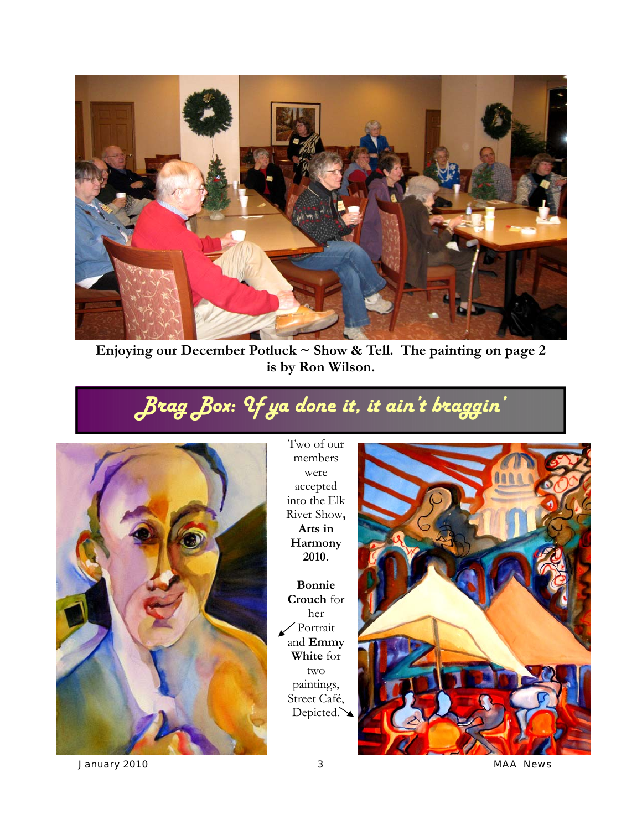

**Enjoying our December Potluck ~ Show & Tell. The painting on page 2 is by Ron Wilson.** 

## *Brag Box: If ya done it, it ain't braggin'*



Two of our members were accepted into the Elk River Show**, Arts in Harmony 2010.** 

**Bonnie Crouch** for her Portrait and **Emmy White** for two paintings, Street Café, Depicted.



*January 2010 3 MAA News*